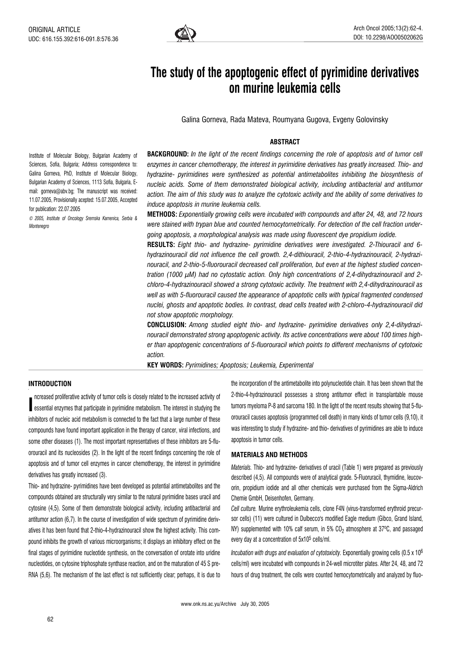

# The study of the apoptogenic effect of pyrimidine derivatives on murine leukemia cells

Galina Gorneva, Rada Mateva, Roumyana Gugova, Evgeny Golovinsky

## ABSTRACT

Institute of Molecular Biology, Bulgarian Academy of Sciences, Sofia, Bulgaria; Address correspondence to: Galina Gorneva, PhD, Institute of Molecular Biology, Bulgarian Academy of Sciences, 1113 Sofia, Bulgaria, Email: gorneva@abv.bg; The manuscript was received: 11.07.2005, Provisionally acepted: 15.07.2005, Accepted for publication: 22.07.2005

© 2005, Institute of Oncology Sremska Kamenica, Serbia & Montenegro

**BACKGROUND:** In the light of the recent findings concerning the role of apoptosis and of tumor cell enzymes in cancer chemotherapy, the interest in pyrimidine derivatives has greatly increased. Thio- and hydrazine- pyrimidines were synthesized as potential antimetabolites inhibiting the biosynthesis of nucleic acids. Some of them demonstrated biological activity, including antibacterial and antitumor action. The aim of this study was to analyze the cytotoxic activity and the ability of some derivatives to induce apoptosis in murine leukemia cells.

METHODS: Exponentially growing cells were incubated with compounds and after 24, 48, and 72 hours were stained with trypan blue and counted hemocytometrically. For detection of the cell fraction undergoing apoptosis, a morphological analysis was made using fluorescent dye propidium iodide.

RESULTS: Eight thio- and hydrazine- pyrimidine derivatives were investigated. 2-Thiouracil and 6 hydrazinouracil did not influence the cell growth. 2,4-dithiouracil, 2-thio-4-hydrazinouracil, 2-hydrazinouracil, and 2-thio-5-fluorouracil decreased cell proliferation, but even at the highest studied concentration (1000 µM) had no cytostatic action. Only high concentrations of 2,4-dihydrazinouracil and 2 chloro-4-hydrazinouracil showed a strong cytotoxic activity. The treatment with 2,4-dihydrazinouracil as well as with 5-fluorouracil caused the appearance of apoptotic cells with typical fragmented condensed nuclei, ghosts and apoptotic bodies. In contrast, dead cells treated with 2-chloro-4-hydrazinouracil did not show apoptotic morphology.

CONCLUSION: Among studied eight thio- and hydrazine- pyrimidine derivatives only 2,4-dihydrazinouracil demonstrated strong apoptogenic activity. Its active concentrations were about 100 times higher than apoptogenic concentrations of 5-fluorouracil which points to different mechanisms of cytotoxic action.

KEY WORDS: Pyrimidines; Apoptosis; Leukemia, Experimental

# INTRODUCTION

I essential enzymes that participate in pyrimidine metabolism. The interest in studying the ncreased proliferative activity of tumor cells is closely related to the increased activity of inhibitors of nucleic acid metabolism is connected to the fact that a large number of these compounds have found important application in the therapy of cancer, viral infections, and some other diseases (1). The most important representatives of these inhibitors are 5-fluorouracil and its nucleosides (2). In the light of the recent findings concerning the role of apoptosis and of tumor cell enzymes in cancer chemotherapy, the interest in pyrimidine derivatives has greatly increased (3).

Thio- and hydrazine- pyrimidines have been developed as potential antimetabolites and the compounds obtained are structurally very similar to the natural pyrimidine bases uracil and cytosine (4,5). Some of them demonstrate biological activity, including antibacterial and antitumor action (6,7). In the course of investigation of wide spectrum of pyrimidine derivatives it has been found that 2-thio-4-hydrazinouracil show the highest activity. This compound inhibits the growth of various microorganisms; it displays an inhibitory effect on the final stages of pyrimidine nucleotide synthesis, on the conversation of orotate into uridine nucleotides, on cytosine triphosphate synthase reaction, and on the maturation of 45 S pre-RNA (5,6). The mechanism of the last effect is not sufficiently clear; perhaps, it is due to the incorporation of the antimetabolite into polynucleotide chain. It has been shown that the 2-thio-4-hydrazinouracil possesses a strong antitumor effect in transplantable mouse tumors myeloma P-8 and sarcoma 180. In the light of the recent results showing that 5-fluorouracil causes apoptosis (programmed cell death) in many kinds of tumor cells (9,10), it was interesting to study if hydrazine- and thio- derivatives of pyrimidines are able to induce apoptosis in tumor cells.

### MATERIALS AND METHODS

Materials. Thio- and hydrazine- derivatives of uracil (Table 1) were prepared as previously described (4,5). All compounds were of analytical grade. 5-Fluoruracil, thymidine, leucovorin, propidium iodide and all other chemicals were purchased from the Sigma-Aldrich Chemie GmbH, Deisenhofen, Germany.

Cell culture. Murine erythroleukemia cells, clone F4N (virus-transformed erythroid precursor cells) (11) were cultured in Dulbecco's modified Eagle medium (Gibco, Grand Island, NY) supplemented with 10% calf serum, in 5%  $CO<sub>2</sub>$  atmosphere at 37 $^{\circ}$ C, and passaged every day at a concentration of 5x105 cells/ml.

Incubation with drugs and evaluation of cytotoxicity. Exponentially growing cells  $(0.5 \times 10^6)$ cells/ml) were incubated with compounds in 24-well microtiter plates. After 24, 48, and 72 hours of drug treatment, the cells were counted hemocytometrically and analyzed by fluo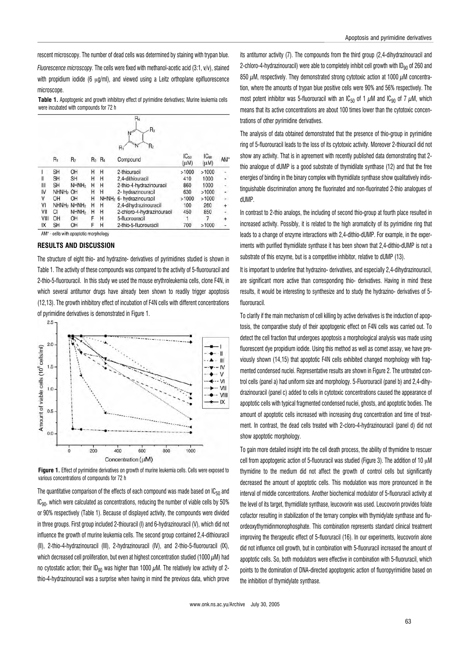rescent microscopy. The number of dead cells was determined by staining with trypan blue.

Fluorescence microscopy. The cells were fixed with methanol-acetic acid (3:1, v/v), stained with propidium iodide (6  $\mu$ g/ml), and viewed using a Leitz orthoplane epifluorescence microscope.

Table 1. Apoptogenic and growth inhibitory effect of pyrimidine derivatives: Murine leukemia cells were incubated with compounds for 72 h

|      |                   |                   |       |                   | R4<br>$R_3$<br>N<br>$\mathsf{R}_2$<br>N |                          |                               |        |
|------|-------------------|-------------------|-------|-------------------|-----------------------------------------|--------------------------|-------------------------------|--------|
|      | $R_1$             | R <sub>2</sub>    | $R_3$ | $R_4$             | R,<br>Compound                          | IC <sub>50</sub><br>(uM) | IC <sub>90</sub><br>$(\mu M)$ | AM*    |
|      | <b>SH</b>         | OH                | H     | Н                 | 2-thiouracil                            | >1000                    | >1000                         |        |
| Ш    | <b>SH</b>         | <b>SH</b>         | Н     | Η                 | 2,4-dithiouracil                        | 410                      | 1000                          | ÷      |
| Ш    | <b>SH</b>         | NHNH <sub>2</sub> | н     | Н                 | 2-thio-4-hydrazinouracil                | 860                      | 1000                          | ÷      |
| IV   | NHNH <sub>2</sub> | OH                | Н     | Н                 | 2- hydrazinouracil                      | 630                      | >1000                         | ۰      |
| ٧    | OH                | OH                | Н     | NHNH <sub>2</sub> | 6- hydrazinouracil                      | >1000                    | >1000                         | ÷      |
| ٧I   | NHNH <sub>2</sub> | NHNH <sub>2</sub> | Н     | н                 | 2,4-dihydrazinouracil                   | 100                      | 260                           | $+$    |
| VII  | СI                | NHNH <sub>2</sub> | Н     | н                 | 2-chloro-4-hydrazinouracil              | 450                      | 850                           | ÷      |
| VIII | OH                | OH                | F     | Н                 | 5-fluorouracil                          |                          |                               | $^{+}$ |
| IX   | <b>SH</b>         | OH                | F     | Н                 | 2-thio-5-fluorouracil                   | 700                      | >1000                         | ۰      |

AM\* - cells with apoptotic morphology

## RESULTS AND DISCUSSION

The structure of eight thio- and hydrazine- derivatives of pyrimidines studied is shown in Table 1. The activity of these compounds was compared to the activity of 5-fluorouracil and 2-thio-5-fluorouracil. In this study we used the mouse erythroleukemia cells, clone F4N, in which several antitumor drugs have already been shown to readily trigger apoptosis (12,13). The growth inhibitory effect of incubation of F4N cells with different concentrations of pyrimidine derivatives is demonstrated in Figure 1.





The quantitative comparison of the effects of each compound was made based on  $IC_{50}$  and IC<sub>90</sub>, which were calculated as concentrations, reducing the number of viable cells by 50% or 90% respectively (Table 1). Because of displayed activity, the compounds were divided in three groups. First group included 2-thiouracil (I) and 6-hydrazinouracil (V), which did not influence the growth of murine leukemia cells. The second group contained 2,4-dithiouracil (II), 2-thio-4-hydrazinouracil (III), 2-hydrazinouracil (IV), and 2-thio-5-fluorouracil (IX), which decreased cell proliferation, but even at highest concentration studied (1000  $\mu$ M) had no cytostatic action; their ID<sub>90</sub> was higher than 1000  $\mu$ M. The relatively low activity of 2thio-4-hydrazinouracil was a surprise when having in mind the previous data, which prove its antitumor activity (7). The compounds from the third group (2,4-dihydrazinouracil and 2-chloro-4-hydrazinouracil) were able to completely inhibit cell growth with  $ID_{90}$  of 260 and 850  $\mu$ M, respectively. They demonstrated strong cytotoxic action at 1000  $\mu$ M concentration, where the amounts of trypan blue positive cells were 90% and 56% respectively. The most potent inhibitor was 5-fluorouracil with an IC<sub>50</sub> of 1  $\mu$ M and IC<sub>90</sub> of 7  $\mu$ M, which means that its active concentrations are about 100 times lower than the cytotoxic concentrations of other pyrimidine derivatives.

The analysis of data obtained demonstrated that the presence of thio-group in pyrimidine ring of 5-fluorouracil leads to the loss of its cytotoxic activity. Moreover 2-thiouracil did not show any activity. That is in agreement with recently published data demonstrating that 2 thio analogue of dUMP is a good substrate of thymidilate synthase (12) and that the free energies of binding in the binary complex with thymidilate synthase show qualitatively indistinguishable discrimination among the fluorinated and non-fluorinated 2-thio analogues of dUMP.

In contrast to 2-thio analogs, the including of second thio-group at fourth place resulted in increased activity. Possibly, it is related to the high aromaticity of its pyrimidine ring that leads to a change of enzyme interactions with 2,4-dithio-dUMP. For example, in the experiments with purified thymidilate synthase it has been shown that 2,4-dithio-dUMP is not a substrate of this enzyme, but is a competitive inhibitor, relative to dUMP (13).

It is important to underline that hydrazino- derivatives, and especially 2,4-dihydrazinouracil, are significant more active than corresponding thio- derivatives. Having in mind these results, it would be interesting to synthesize and to study the hydrazino- derivatives of 5 fluorouracil.

To clarify if the main mechanism of cell killing by active derivatives is the induction of apoptosis, the comparative study of their apoptogenic effect on F4N cells was carried out. To detect the cell fraction that undergoes apoptosis a morphological analysis was made using fluorescent dye propidium iodide. Using this method as well as comet assay, we have previously shown (14,15) that apoptotic F4N cells exhibited changed morphology with fragmented condensed nuclei. Representative results are shown in Figure 2. The untreated control cells (panel a) had uniform size and morphology. 5-Fluorouracil (panel b) and 2,4-dihydrazinouracil (panel c) added to cells in cytotoxic concentrations caused the appearance of apoptotic cells with typical fragmented condensed nuclei, ghosts, and apoptotic bodies. The amount of apoptotic cells increased with increasing drug concentration and time of treatment. In contrast, the dead cells treated with 2-cloro-4-hydrazinouracil (panel d) did not show apoptotic morphology.

To gain more detailed insight into the cell death process, the ability of thymidine to rescuer cell from apoptogenic action of 5-fluoruracil was studied (Figure 3). The addition of 10  $\mu$ M thymidine to the medium did not affect the growth of control cells but significantly decreased the amount of apoptotic cells. This modulation was more pronounced in the interval of middle concentrations. Another biochemical modulator of 5-fluoruracil activity at the level of its target, thymidilate synthase, leucovorin was used. Leucovorin provides folate cofactor resulting in stabilization of the ternary complex with thymidylate synthase and fluordeoxythymidinmonophosphate. This combination represents standard clinical treatment improving the therapeutic effect of 5-fluoruracil (16). In our experiments, leucovorin alone did not influence cell growth, but in combination with 5-fluoruracil increased the amount of apoptotic cells. So, both modulators were effective in combination with 5-fluoruracil, which points to the domination of DNA-directed apoptogenic action of fluoropyrimidine based on the inhibition of thymidylate synthase.